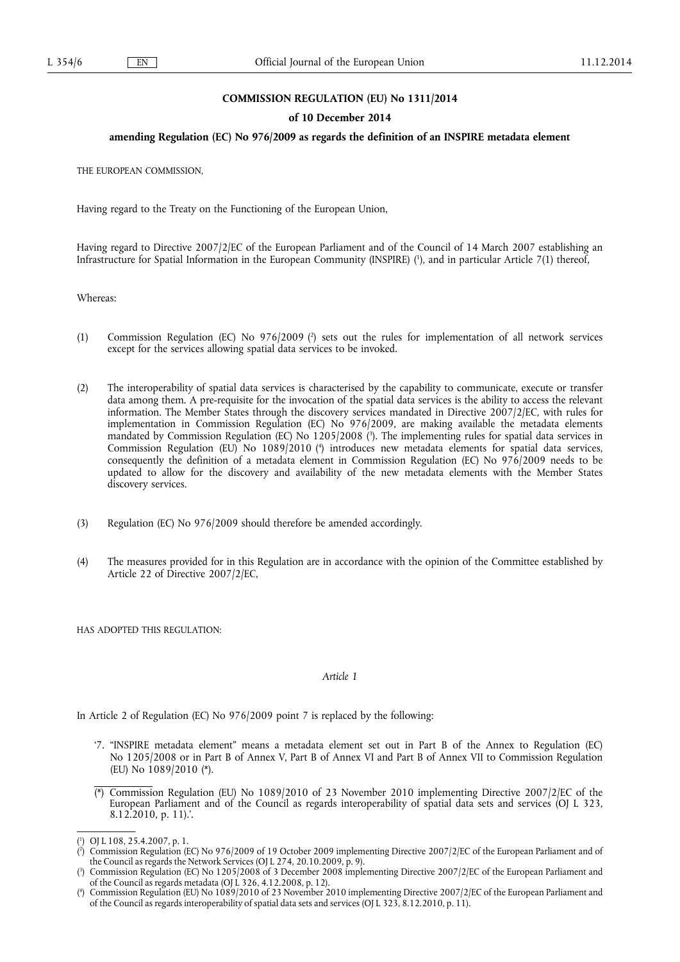## **COMMISSION REGULATION (EU) No 1311/2014**

#### **of 10 December 2014**

## **amending Regulation (EC) No 976/2009 as regards the definition of an INSPIRE metadata element**

THE EUROPEAN COMMISSION,

Having regard to the Treaty on the Functioning of the European Union,

Having regard to Directive 2007/2/EC of the European Parliament and of the Council of 14 March 2007 establishing an Infrastructure for Spatial Information in the European Community (INSPIRE) ( 1 ), and in particular Article 7(1) thereof,

Whereas:

- (1) Commission Regulation (EC) No 976/2009 (?) sets out the rules for implementation of all network services except for the services allowing spatial data services to be invoked.
- (2) The interoperability of spatial data services is characterised by the capability to communicate, execute or transfer data among them. A pre-requisite for the invocation of the spatial data services is the ability to access the relevant information. The Member States through the discovery services mandated in Directive 2007/2/EC, with rules for implementation in Commission Regulation (EC) No 976/2009, are making available the metadata elements mandated by Commission Regulation (EC) No 1205/2008 ( 3 ). The implementing rules for spatial data services in Commission Regulation (EU) No 1089/2010 ( 4 ) introduces new metadata elements for spatial data services, consequently the definition of a metadata element in Commission Regulation (EC) No 976/2009 needs to be updated to allow for the discovery and availability of the new metadata elements with the Member States discovery services.
- (3) Regulation (EC) No 976/2009 should therefore be amended accordingly.
- (4) The measures provided for in this Regulation are in accordance with the opinion of the Committee established by Article 22 of Directive 2007/2/EC,

HAS ADOPTED THIS REGULATION:

#### *Article 1*

In Article 2 of Regulation (EC) No 976/2009 point 7 is replaced by the following:

- '7. "INSPIRE metadata element" means a metadata element set out in Part B of the Annex to Regulation (EC) No 1205/2008 or in Part B of Annex V, Part B of Annex VI and Part B of Annex VII to Commission Regulation (EU) No 1089/2010 (\*).
- (\*) Commission Regulation (EU) No 1089/2010 of 23 November 2010 implementing Directive 2007/2/EC of the European Parliament and of the Council as regards interoperability of spatial data sets and services (OJ L 323, 8.12.2010, p. 11).'.

<sup>(</sup> 1 ) OJ L 108, 25.4.2007, p. 1.

<sup>(</sup> 2 ) Commission Regulation (EC) No 976/2009 of 19 October 2009 implementing Directive 2007/2/EC of the European Parliament and of the Council as regards the Network Services (OJ L 274, 20.10.2009, p. 9).

<sup>(</sup> 3 ) Commission Regulation (EC) No 1205/2008 of 3 December 2008 implementing Directive 2007/2/EC of the European Parliament and of the Council as regards metadata (OJ  $\angle$  326, 4.12.2008, p. 12).

<sup>(</sup> 4 ) Commission Regulation (EU) No 1089/2010 of 23 November 2010 implementing Directive 2007/2/EC of the European Parliament and of the Council as regards interoperability of spatial data sets and services (OJ L 323, 8.12.2010, p. 11).